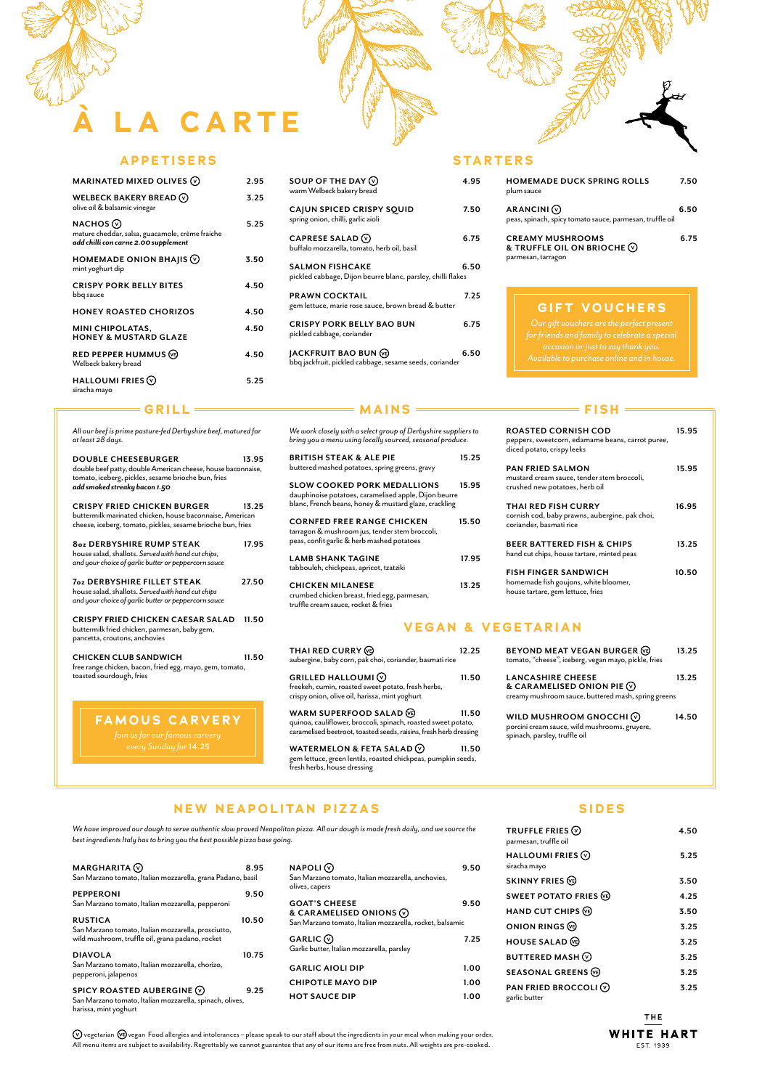$\heartsuit$  vegetarian  $\heartsuit$  vegan Food allergies and intolerances – please speak to our staff about the ingredients in your meal when making your order. All menu items are subject to availability. Regrettably we cannot guarantee that any of our items are free from nuts. All weights are pre-cooked.

TRUFFLE FRIES  $\odot$  4.50 parmesan, truffle oil **HALLOUMI FRIES 5.25 SKINNY FRIES 3.50**  $RIES$   $\circledcirc$  4.25 **HAND CUT CHIPS 3.50 ONION RINGS 3.25 HOUSE SALAD 3.25 BUTTERED MASH 3.25**  $\sqrt{S}$  S.25 **PAN III**  $\odot$  **3.25** 

> THE **WHITE HART**

> > EST. 1939

### **SIDES**

*We have improved our dough to serve authentic slow proved Neapolitan pizza. All our dough is made fresh daily, and we source the best ingredients Italy has to bring you the best possible pizza base going.*

#### **NEW NEAPOLITAN PIZZAS**

| MARGHARITA $\circledcirc$                                                                                                 | 8.95  | <b>NAPOLI</b> $\heartsuit$                                           | 9.50              | <b>HALLOUMIFRIES</b><br>siracha mayo |
|---------------------------------------------------------------------------------------------------------------------------|-------|----------------------------------------------------------------------|-------------------|--------------------------------------|
| San Marzano tomato, Italian mozzarella, grana Padano, basil                                                               |       | San Marzano tomato, Italian mozzarella, anchovies,<br>olives, capers |                   | SKINNY FRIES $\circledR$             |
| <b>PEPPERONI</b>                                                                                                          | 9.50  |                                                                      |                   | <b>SWEET POTATO F</b>                |
| San Marzano tomato, Italian mozzarella, pepperoni                                                                         |       | <b>GOAT'S CHEESE</b>                                                 | 9.50              |                                      |
|                                                                                                                           |       | & CARAMELISED ONIONS $\heartsuit$                                    |                   | <b>HAND CUT CHIPS</b>                |
| <b>RUSTICA</b><br>San Marzano tomato, Italian mozzarella, prosciutto,                                                     | 10.50 | San Marzano tomato, Italian mozzarella, rocket, balsamic             |                   | ONION RINGS $\circledR$              |
| wild mushroom, truffle oil, grana padano, rocket                                                                          |       | <b>GARLIC</b> $\heartsuit$                                           | 7.25              | HOUSE SALAD (B)                      |
| <b>DIAVOLA</b>                                                                                                            | 10.75 | Garlic butter, Italian mozzarella, parsley                           |                   | <b>BUTTERED MASH</b>                 |
| San Marzano tomato, Italian mozzarella, chorizo,<br>pepperoni, jalapenos                                                  |       | <b>GARLIC AIOLI DIP</b>                                              | 1.00 <sub>1</sub> | <b>SEASONAL GREEN</b>                |
|                                                                                                                           |       | <b>CHIPOTLE MAYO DIP</b>                                             | 1.00              | <b>PAN FRIED BROCO</b>               |
| SPICY ROASTED AUBERGINE $\heartsuit$<br>San Marzano tomato, Italian mozzarella, spinach, olives,<br>harissa, mint yoghurt | 9.25  | <b>HOT SAUCE DIP</b>                                                 | 1.00              | garlic butter                        |
|                                                                                                                           |       |                                                                      |                   |                                      |

| We work closely with a select group of Derbyshire suppliers to<br>bring you a menu using locally sourced, seasonal produce.                          |       |  |  |
|------------------------------------------------------------------------------------------------------------------------------------------------------|-------|--|--|
| <b>BRITISH STEAK &amp; ALE PIE</b><br>buttered mashed potatoes, spring greens, gravy                                                                 | 15.25 |  |  |
| <b>SLOW COOKED PORK MEDALLIONS</b><br>dauphinoise potatoes, caramelised apple, Dijon beurre<br>blanc, French beans, honey & mustard glaze, crackling | 15.95 |  |  |
| <b>CORNFED FREE RANGE CHICKEN</b><br>tarragon & mushroom jus, tender stem broccoli,<br>peas, confit garlic & herb mashed potatoes                    | 15.50 |  |  |
| <b>LAMB SHANK TAGINE</b><br>tabbouleh, chickpeas, apricot, tzatziki                                                                                  | 17.95 |  |  |
| <b>CHICKEN MILANESE</b>                                                                                                                              | 13.25 |  |  |

**WARM SUPERFOOD SA** quinoa, cauliflower, broccoli, spinach, roasted sweet potato, caramelised beetroot, toasted seeds, raisins, fresh herb dressing

**WATERMELON & FETA SALAD** *V* **11.50** gem lettuce, green lentils, roasted chickpeas, pumpkin seeds, fresh herbs, house dressing

#### crumbed chicken breast, fried egg, parmesan, truffle cream sauce, rocket & fries

| All our beef is prime pasture-fed Derbyshire beef, matured for |  |
|----------------------------------------------------------------|--|
| at least 28 days.                                              |  |

| <b>DOUBLE CHEESEBURGER</b>                                   | 13.95 |
|--------------------------------------------------------------|-------|
| double beef patty, double American cheese, house baconnaise, |       |
| tomato, iceberg, pickles, sesame brioche bun, fries          |       |
| add smoked streaky bacon 1.50                                |       |
|                                                              |       |

**JACKFRUIT BAO BUN <sup>6.50</sup>** bbq jackfruit, pickled cabbage, sesame seeds, coriander

**CRISPY FRIED CHICKEN BURGER 13.25** buttermilk marinated chicken, house baconnaise, American cheese, iceberg, tomato, pickles, sesame brioche bun, fries

| <b>80z DERBYSHIRE RUMP STEAK</b>                     | 17.95 |
|------------------------------------------------------|-------|
| house salad, shallots. Served with hand cut chips,   |       |
| and your choice of garlic butter or peppercorn sauce |       |

**7oz DERBYSHIRE FILLET STEAK 27.50** house salad, shallots. *Served with hand cut chips and your choice of garlic butter or peppercorn sauce*

| <b>CRISPY FRIED CHICKEN CAESAR SALAD</b>      | 11.50 |
|-----------------------------------------------|-------|
| buttermilk fried chicken, parmesan, baby gem, |       |
| pancetta, croutons, anchovies                 |       |
|                                               |       |

**CHICKEN CLUB SANDWICH 11.50** free range chicken, bacon, fried egg, mayo, gem, tomato, toasted sourdough, fries

**ROASTED CORNISH COD 15.95** peppers, sweetcorn, edamame beans, carrot puree,

#### **EXAMPLE THE RESOURCE THE RESOURCE THE RESOURCE THE FISH**

| diced potato, crispy leeks                                                                                |       |
|-----------------------------------------------------------------------------------------------------------|-------|
| <b>PAN FRIED SALMON</b><br>mustard cream sauce, tender stem broccoli,<br>crushed new potatoes, herb oil   | 15.95 |
| <b>THAI RED FISH CURRY</b><br>cornish cod, baby prawns, aubergine, pak choi,<br>coriander, basmati rice   | 16.95 |
| <b>BEER BATTERED FISH &amp; CHIPS</b><br>hand cut chips, house tartare, minted peas                       | 13.25 |
| <b>FISH FINGER SANDWICH</b><br>homemade fish goujons, white bloomer,<br>house tartare, gem lettuce, fries | 10.50 |

# **FAMOUS CARVERY**

| THAI RED CURRY (B)<br>12.25<br>aubergine, baby corn, pak choi, coriander, basmati rice                                                  |       | <b>BEYOND MEAT VEGAN BURGER (VE)</b><br>13.25<br>tomato, "cheese", iceberg, vegan mayo, pickle, fries            |       |  |
|-----------------------------------------------------------------------------------------------------------------------------------------|-------|------------------------------------------------------------------------------------------------------------------|-------|--|
| <b>GRILLED HALLOUMI</b> $\odot$<br>freekeh, cumin, roasted sweet potato, fresh herbs,<br>crispy onion, olive oil, harissa, mint yoghurt | 11.50 | <b>LANCASHIRE CHEESE</b><br>& CARAMELISED ONION PIE $(v)$<br>creamy mushroom sauce, buttered mash, spring greens | 13.25 |  |
| WARM SUPERFOOD SALAD (VE)                                                                                                               | 11.50 | $m_{\rm B}$ $\sim$ $m_{\rm C}$ $\sim$ $\sim$ $\sim$ $\sim$                                                       |       |  |

## **VEGAN & VEGETARIAN**

| tomato, "cheese", iceberg, vegan mayo, pickle, fries                                                                    |       |
|-------------------------------------------------------------------------------------------------------------------------|-------|
| <b>LANCASHIRE CHEESE</b><br>& CARAMELISED ONION PIE $\heartsuit$<br>creamy mushroom sauce, buttered mash, spring greens | 13.25 |
| WILD MUSHROOM GNOCCHI $\heartsuit$<br>porcini cream sauce, wild mushrooms, gruyere,                                     | 14.50 |

spinach, parsley, truffle oil

#### **GRILL**

pickled cabbage, Dijon beurre blanc, parsley, chilli flakes

**PRAWN COCKTAIL** 7.25 gem lettuce, marie rose sauce, brown bread & butter

**CRISPY PORK BELLY BAO BUN 6.75**

pickled cabbage, coriander

# **CARTE**

#### **APPETISERS**

| SOUP OF THE DAY $\circledcirc$<br>warm Welbeck bakery bread                 | 4.95 | <b>HOMEMADE DUCK SPRING ROLLS</b><br>plum sauce                                        | 7.50 |
|-----------------------------------------------------------------------------|------|----------------------------------------------------------------------------------------|------|
| CAJUN SPICED CRISPY SQUID<br>spring onion, chilli, garlic aioli             | 7.50 | ARANCINI $\circledcirc$<br>peas, spinach, spicy tomato sauce, parmesan, truffle oil    | 6.50 |
| CAPRESE SALAD $\circledcirc$<br>buffalo mozzarella, tomato, herb oil, basil | 6.75 | <b>CREAMY MUSHROOMS</b><br>& TRUFFLE OIL ON BRIOCHE $\heartsuit$<br>parmesan, tarragon | 6.75 |
| <b>SALMON FISHCAKE</b>                                                      | 6.50 |                                                                                        |      |

| 2.95 |
|------|
| 3.25 |
| 5.25 |
| 3.50 |
| 4.50 |
| 4.50 |
| 4.50 |
| 4.50 |
| 5.25 |
|      |

#### **STARTERS**

## **GIFT VOUCHERS**